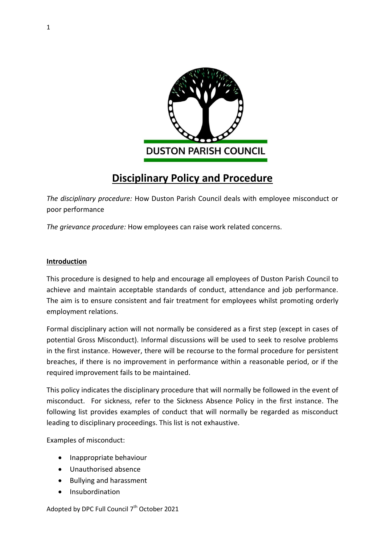

# **Disciplinary Policy and Procedure**

*The disciplinary procedure:* How Duston Parish Council deals with employee misconduct or poor performance

*The grievance procedure:* How employees can raise work related concerns.

#### **Introduction**

This procedure is designed to help and encourage all employees of Duston Parish Council to achieve and maintain acceptable standards of conduct, attendance and job performance. The aim is to ensure consistent and fair treatment for employees whilst promoting orderly employment relations.

Formal disciplinary action will not normally be considered as a first step (except in cases of potential Gross Misconduct). Informal discussions will be used to seek to resolve problems in the first instance. However, there will be recourse to the formal procedure for persistent breaches, if there is no improvement in performance within a reasonable period, or if the required improvement fails to be maintained.

This policy indicates the disciplinary procedure that will normally be followed in the event of misconduct. For sickness, refer to the Sickness Absence Policy in the first instance. The following list provides examples of conduct that will normally be regarded as misconduct leading to disciplinary proceedings. This list is not exhaustive.

Examples of misconduct:

- Inappropriate behaviour
- Unauthorised absence
- Bullving and harassment
- Insubordination

Adopted by DPC Full Council 7<sup>th</sup> October 2021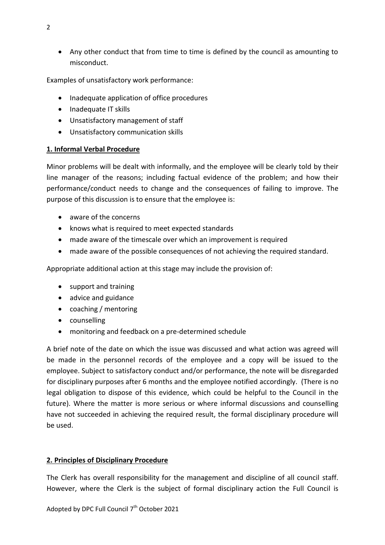Any other conduct that from time to time is defined by the council as amounting to misconduct.

Examples of unsatisfactory work performance:

- Inadequate application of office procedures
- Inadequate IT skills
- Unsatisfactory management of staff
- Unsatisfactory communication skills

#### **1. Informal Verbal Procedure**

Minor problems will be dealt with informally, and the employee will be clearly told by their line manager of the reasons; including factual evidence of the problem; and how their performance/conduct needs to change and the consequences of failing to improve. The purpose of this discussion is to ensure that the employee is:

- aware of the concerns
- knows what is required to meet expected standards
- made aware of the timescale over which an improvement is required
- made aware of the possible consequences of not achieving the required standard.

Appropriate additional action at this stage may include the provision of:

- support and training
- advice and guidance
- coaching / mentoring
- counselling
- monitoring and feedback on a pre-determined schedule

A brief note of the date on which the issue was discussed and what action was agreed will be made in the personnel records of the employee and a copy will be issued to the employee. Subject to satisfactory conduct and/or performance, the note will be disregarded for disciplinary purposes after 6 months and the employee notified accordingly. (There is no legal obligation to dispose of this evidence, which could be helpful to the Council in the future). Where the matter is more serious or where informal discussions and counselling have not succeeded in achieving the required result, the formal disciplinary procedure will be used.

#### **2. Principles of Disciplinary Procedure**

The Clerk has overall responsibility for the management and discipline of all council staff. However, where the Clerk is the subject of formal disciplinary action the Full Council is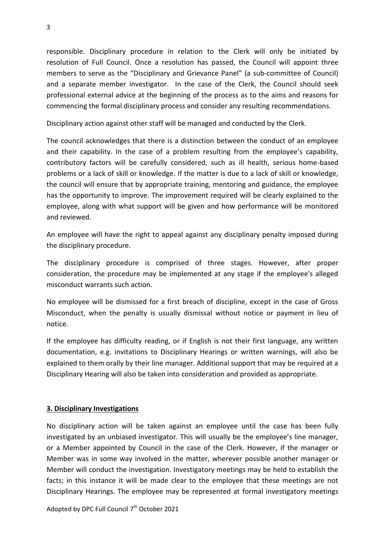responsible. Disciplinary procedure in relation to the Clerk will only be initiated by resolution of Full Council. Once a resolution has passed, the Council will appoint three members to serve as the "Disciplinary and Grievance Panel" (a sub-committee of Council) and a separate member investigator. In the case of the Clerk, the Council should seek professional external advice at the beginning of the process as to the aims and reasons for commencing the formal disciplinary process and consider any resulting recommendations.

Disciplinary action against other staff will be managed and conducted by the Clerk.

The council acknowledges that there is a distinction between the conduct of an employee and their capability. In the case of a problem resulting from the employee's capability, contributory factors will be carefully considered, such as ill health, serious home-based problems or a lack of skill or knowledge. If the matter is due to a lack of skill or knowledge, the council will ensure that by appropriate training, mentoring and guidance, the employee has the opportunity to improve. The improvement required will be clearly explained to the employee, along with what support will be given and how performance will be monitored and reviewed.

An employee will have the right to appeal against any disciplinary penalty imposed during the disciplinary procedure.

The disciplinary procedure is comprised of three stages. However, after proper consideration, the procedure may be implemented at any stage if the employee's alleged misconduct warrants such action.

No employee will be dismissed for a first breach of discipline, except in the case of Gross Misconduct, when the penalty is usually dismissal without notice or payment in lieu of notice.

If the employee has difficulty reading, or if English is not their first language, any written documentation, e.g. invitations to Disciplinary Hearings or written warnings, will also be explained to them orally by their line manager. Additional support that may be required at a Disciplinary Hearing will also be taken into consideration and provided as appropriate.

# **3. Disciplinary Investigations**

No disciplinary action will be taken against an employee until the case has been fully investigated by an unbiased investigator. This will usually be the employee's line manager, or a Member appointed by Council in the case of the Clerk. However, if the manager or Member was in some way involved in the matter, wherever possible another manager or Member will conduct the investigation. Investigatory meetings may be held to establish the facts; in this instance it will be made clear to the employee that these meetings are not Disciplinary Hearings. The employee may be represented at formal investigatory meetings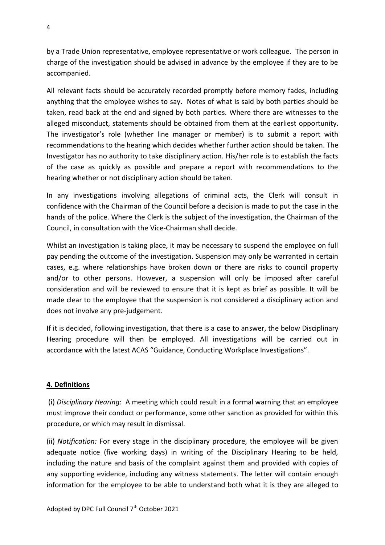by a Trade Union representative, employee representative or work colleague. The person in charge of the investigation should be advised in advance by the employee if they are to be accompanied.

All relevant facts should be accurately recorded promptly before memory fades, including anything that the employee wishes to say. Notes of what is said by both parties should be taken, read back at the end and signed by both parties. Where there are witnesses to the alleged misconduct, statements should be obtained from them at the earliest opportunity. The investigator's role (whether line manager or member) is to submit a report with recommendations to the hearing which decides whether further action should be taken. The Investigator has no authority to take disciplinary action. His/her role is to establish the facts of the case as quickly as possible and prepare a report with recommendations to the hearing whether or not disciplinary action should be taken.

In any investigations involving allegations of criminal acts, the Clerk will consult in confidence with the Chairman of the Council before a decision is made to put the case in the hands of the police. Where the Clerk is the subject of the investigation, the Chairman of the Council, in consultation with the Vice-Chairman shall decide.

Whilst an investigation is taking place, it may be necessary to suspend the employee on full pay pending the outcome of the investigation. Suspension may only be warranted in certain cases, e.g. where relationships have broken down or there are risks to council property and/or to other persons. However, a suspension will only be imposed after careful consideration and will be reviewed to ensure that it is kept as brief as possible. It will be made clear to the employee that the suspension is not considered a disciplinary action and does not involve any pre-judgement.

If it is decided, following investigation, that there is a case to answer, the below Disciplinary Hearing procedure will then be employed. All investigations will be carried out in accordance with the latest ACAS "Guidance, Conducting Workplace Investigations".

# **4. Definitions**

(i) *Disciplinary Hearing*: A meeting which could result in a formal warning that an employee must improve their conduct or performance, some other sanction as provided for within this procedure, or which may result in dismissal.

(ii) *Notification:* For every stage in the disciplinary procedure, the employee will be given adequate notice (five working days) in writing of the Disciplinary Hearing to be held, including the nature and basis of the complaint against them and provided with copies of any supporting evidence, including any witness statements. The letter will contain enough information for the employee to be able to understand both what it is they are alleged to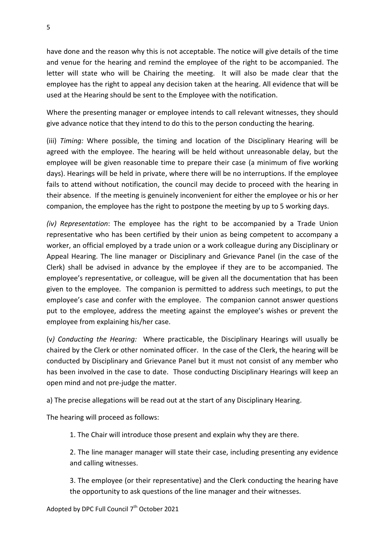have done and the reason why this is not acceptable. The notice will give details of the time and venue for the hearing and remind the employee of the right to be accompanied. The letter will state who will be Chairing the meeting. It will also be made clear that the employee has the right to appeal any decision taken at the hearing. All evidence that will be used at the Hearing should be sent to the Employee with the notification.

Where the presenting manager or employee intends to call relevant witnesses, they should give advance notice that they intend to do this to the person conducting the hearing.

(iii) *Timing:* Where possible, the timing and location of the Disciplinary Hearing will be agreed with the employee. The hearing will be held without unreasonable delay, but the employee will be given reasonable time to prepare their case (a minimum of five working days). Hearings will be held in private, where there will be no interruptions. If the employee fails to attend without notification, the council may decide to proceed with the hearing in their absence. If the meeting is genuinely inconvenient for either the employee or his or her companion, the employee has the right to postpone the meeting by up to 5 working days.

*(iv) Representation*: The employee has the right to be accompanied by a Trade Union representative who has been certified by their union as being competent to accompany a worker, an official employed by a trade union or a work colleague during any Disciplinary or Appeal Hearing. The line manager or Disciplinary and Grievance Panel (in the case of the Clerk) shall be advised in advance by the employee if they are to be accompanied. The employee's representative, or colleague, will be given all the documentation that has been given to the employee. The companion is permitted to address such meetings, to put the employee's case and confer with the employee. The companion cannot answer questions put to the employee, address the meeting against the employee's wishes or prevent the employee from explaining his/her case.

(v*) Conducting the Hearing:* Where practicable, the Disciplinary Hearings will usually be chaired by the Clerk or other nominated officer. In the case of the Clerk, the hearing will be conducted by Disciplinary and Grievance Panel but it must not consist of any member who has been involved in the case to date. Those conducting Disciplinary Hearings will keep an open mind and not pre-judge the matter.

a) The precise allegations will be read out at the start of any Disciplinary Hearing.

The hearing will proceed as follows:

1. The Chair will introduce those present and explain why they are there.

2. The line manager manager will state their case, including presenting any evidence and calling witnesses.

3. The employee (or their representative) and the Clerk conducting the hearing have the opportunity to ask questions of the line manager and their witnesses.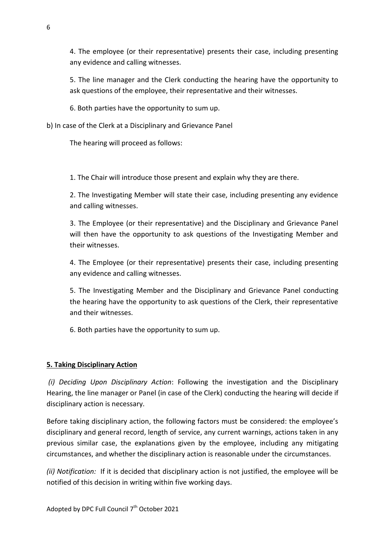4. The employee (or their representative) presents their case, including presenting any evidence and calling witnesses.

5. The line manager and the Clerk conducting the hearing have the opportunity to ask questions of the employee, their representative and their witnesses.

6. Both parties have the opportunity to sum up.

b) In case of the Clerk at a Disciplinary and Grievance Panel

The hearing will proceed as follows:

1. The Chair will introduce those present and explain why they are there.

2. The Investigating Member will state their case, including presenting any evidence and calling witnesses.

3. The Employee (or their representative) and the Disciplinary and Grievance Panel will then have the opportunity to ask questions of the Investigating Member and their witnesses.

4. The Employee (or their representative) presents their case, including presenting any evidence and calling witnesses.

5. The Investigating Member and the Disciplinary and Grievance Panel conducting the hearing have the opportunity to ask questions of the Clerk, their representative and their witnesses.

6. Both parties have the opportunity to sum up.

# **5. Taking Disciplinary Action**

*(i) Deciding Upon Disciplinary Action*: Following the investigation and the Disciplinary Hearing, the line manager or Panel (in case of the Clerk) conducting the hearing will decide if disciplinary action is necessary.

Before taking disciplinary action, the following factors must be considered: the employee's disciplinary and general record, length of service, any current warnings, actions taken in any previous similar case, the explanations given by the employee, including any mitigating circumstances, and whether the disciplinary action is reasonable under the circumstances.

*(ii) Notification:* If it is decided that disciplinary action is not justified, the employee will be notified of this decision in writing within five working days.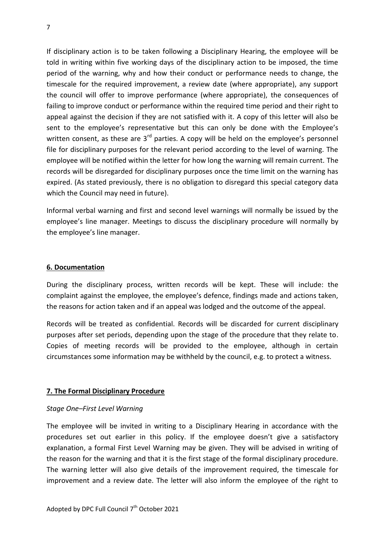If disciplinary action is to be taken following a Disciplinary Hearing, the employee will be told in writing within five working days of the disciplinary action to be imposed, the time period of the warning, why and how their conduct or performance needs to change, the timescale for the required improvement, a review date (where appropriate), any support the council will offer to improve performance (where appropriate), the consequences of failing to improve conduct or performance within the required time period and their right to appeal against the decision if they are not satisfied with it. A copy of this letter will also be sent to the employee's representative but this can only be done with the Employee's written consent, as these are  $3<sup>rd</sup>$  parties. A copy will be held on the employee's personnel file for disciplinary purposes for the relevant period according to the level of warning. The employee will be notified within the letter for how long the warning will remain current. The records will be disregarded for disciplinary purposes once the time limit on the warning has expired. (As stated previously, there is no obligation to disregard this special category data which the Council may need in future).

Informal verbal warning and first and second level warnings will normally be issued by the employee's line manager. Meetings to discuss the disciplinary procedure will normally by the employee's line manager.

#### **6. Documentation**

During the disciplinary process, written records will be kept. These will include: the complaint against the employee, the employee's defence, findings made and actions taken, the reasons for action taken and if an appeal was lodged and the outcome of the appeal.

Records will be treated as confidential. Records will be discarded for current disciplinary purposes after set periods, depending upon the stage of the procedure that they relate to. Copies of meeting records will be provided to the employee, although in certain circumstances some information may be withheld by the council, e.g. to protect a witness.

#### **7. The Formal Disciplinary Procedure**

#### *Stage One–First Level Warning*

The employee will be invited in writing to a Disciplinary Hearing in accordance with the procedures set out earlier in this policy. If the employee doesn't give a satisfactory explanation, a formal First Level Warning may be given. They will be advised in writing of the reason for the warning and that it is the first stage of the formal disciplinary procedure. The warning letter will also give details of the improvement required, the timescale for improvement and a review date. The letter will also inform the employee of the right to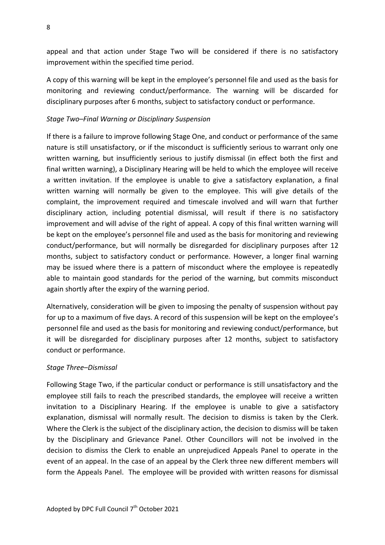appeal and that action under Stage Two will be considered if there is no satisfactory improvement within the specified time period.

A copy of this warning will be kept in the employee's personnel file and used as the basis for monitoring and reviewing conduct/performance. The warning will be discarded for disciplinary purposes after 6 months, subject to satisfactory conduct or performance.

#### *Stage Two–Final Warning or Disciplinary Suspension*

If there is a failure to improve following Stage One, and conduct or performance of the same nature is still unsatisfactory, or if the misconduct is sufficiently serious to warrant only one written warning, but insufficiently serious to justify dismissal (in effect both the first and final written warning), a Disciplinary Hearing will be held to which the employee will receive a written invitation. If the employee is unable to give a satisfactory explanation, a final written warning will normally be given to the employee. This will give details of the complaint, the improvement required and timescale involved and will warn that further disciplinary action, including potential dismissal, will result if there is no satisfactory improvement and will advise of the right of appeal. A copy of this final written warning will be kept on the employee's personnel file and used as the basis for monitoring and reviewing conduct/performance, but will normally be disregarded for disciplinary purposes after 12 months, subject to satisfactory conduct or performance. However, a longer final warning may be issued where there is a pattern of misconduct where the employee is repeatedly able to maintain good standards for the period of the warning, but commits misconduct again shortly after the expiry of the warning period.

Alternatively, consideration will be given to imposing the penalty of suspension without pay for up to a maximum of five days. A record of this suspension will be kept on the employee's personnel file and used as the basis for monitoring and reviewing conduct/performance, but it will be disregarded for disciplinary purposes after 12 months, subject to satisfactory conduct or performance.

#### *Stage Three–Dismissal*

Following Stage Two, if the particular conduct or performance is still unsatisfactory and the employee still fails to reach the prescribed standards, the employee will receive a written invitation to a Disciplinary Hearing. If the employee is unable to give a satisfactory explanation, dismissal will normally result. The decision to dismiss is taken by the Clerk. Where the Clerk is the subject of the disciplinary action, the decision to dismiss will be taken by the Disciplinary and Grievance Panel. Other Councillors will not be involved in the decision to dismiss the Clerk to enable an unprejudiced Appeals Panel to operate in the event of an appeal. In the case of an appeal by the Clerk three new different members will form the Appeals Panel. The employee will be provided with written reasons for dismissal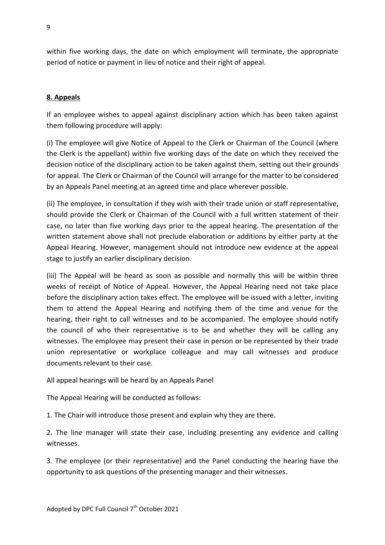within five working days, the date on which employment will terminate, the appropriate period of notice or payment in lieu of notice and their right of appeal.

### **8. Appeals**

If an employee wishes to appeal against disciplinary action which has been taken against them following procedure will apply:

(i) The employee will give Notice of Appeal to the Clerk or Chairman of the Council (where the Clerk is the appellant) within five working days of the date on which they received the decision notice of the disciplinary action to be taken against them, setting out their grounds for appeal. The Clerk or Chairman of the Council will arrange for the matter to be considered by an Appeals Panel meeting at an agreed time and place wherever possible.

(ii) The employee, in consultation if they wish with their trade union or staff representative, should provide the Clerk or Chairman of the Council with a full written statement of their case, no later than five working days prior to the appeal hearing. The presentation of the written statement above shall not preclude elaboration or additions by either party at the Appeal Hearing. However, management should not introduce new evidence at the appeal stage to justify an earlier disciplinary decision.

(iii) The Appeal will be heard as soon as possible and normally this will be within three weeks of receipt of Notice of Appeal. However, the Appeal Hearing need not take place before the disciplinary action takes effect. The employee will be issued with a letter, inviting them to attend the Appeal Hearing and notifying them of the time and venue for the hearing, their right to call witnesses and to be accompanied. The employee should notify the council of who their representative is to be and whether they will be calling any witnesses. The employee may present their case in person or be represented by their trade union representative or workplace colleague and may call witnesses and produce documents relevant to their case.

All appeal hearings will be heard by an Appeals Panel

The Appeal Hearing will be conducted as follows:

1. The Chair will introduce those present and explain why they are there.

2. The line manager will state their case, including presenting any evidence and calling witnesses.

3. The employee (or their representative) and the Panel conducting the hearing have the opportunity to ask questions of the presenting manager and their witnesses.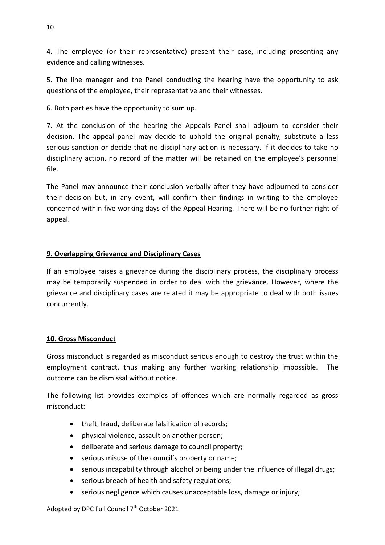4. The employee (or their representative) present their case, including presenting any evidence and calling witnesses.

5. The line manager and the Panel conducting the hearing have the opportunity to ask questions of the employee, their representative and their witnesses.

6. Both parties have the opportunity to sum up.

7. At the conclusion of the hearing the Appeals Panel shall adjourn to consider their decision. The appeal panel may decide to uphold the original penalty, substitute a less serious sanction or decide that no disciplinary action is necessary. If it decides to take no disciplinary action, no record of the matter will be retained on the employee's personnel file.

The Panel may announce their conclusion verbally after they have adjourned to consider their decision but, in any event, will confirm their findings in writing to the employee concerned within five working days of the Appeal Hearing. There will be no further right of appeal.

# **9. Overlapping Grievance and Disciplinary Cases**

If an employee raises a grievance during the disciplinary process, the disciplinary process may be temporarily suspended in order to deal with the grievance. However, where the grievance and disciplinary cases are related it may be appropriate to deal with both issues concurrently.

# **10. Gross Misconduct**

Gross misconduct is regarded as misconduct serious enough to destroy the trust within the employment contract, thus making any further working relationship impossible. The outcome can be dismissal without notice.

The following list provides examples of offences which are normally regarded as gross misconduct:

- theft, fraud, deliberate falsification of records;
- physical violence, assault on another person;
- deliberate and serious damage to council property;
- serious misuse of the council's property or name;
- serious incapability through alcohol or being under the influence of illegal drugs;
- serious breach of health and safety regulations;
- serious negligence which causes unacceptable loss, damage or injury;

Adopted by DPC Full Council  $7<sup>th</sup>$  October 2021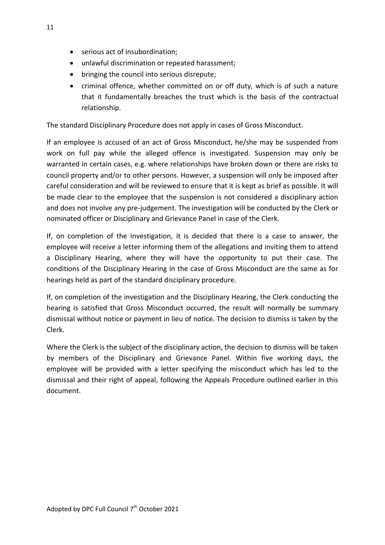- serious act of insubordination;
- unlawful discrimination or repeated harassment;
- bringing the council into serious disrepute;
- criminal offence, whether committed on or off duty, which is of such a nature that it fundamentally breaches the trust which is the basis of the contractual relationship.

The standard Disciplinary Procedure does not apply in cases of Gross Misconduct.

If an employee is accused of an act of Gross Misconduct, he/she may be suspended from work on full pay while the alleged offence is investigated. Suspension may only be warranted in certain cases, e.g. where relationships have broken down or there are risks to council property and/or to other persons. However, a suspension will only be imposed after careful consideration and will be reviewed to ensure that it is kept as brief as possible. It will be made clear to the employee that the suspension is not considered a disciplinary action and does not involve any pre-judgement. The investigation will be conducted by the Clerk or nominated officer or Disciplinary and Grievance Panel in case of the Clerk.

If, on completion of the investigation, it is decided that there is a case to answer, the employee will receive a letter informing them of the allegations and inviting them to attend a Disciplinary Hearing, where they will have the opportunity to put their case. The conditions of the Disciplinary Hearing in the case of Gross Misconduct are the same as for hearings held as part of the standard disciplinary procedure.

If, on completion of the investigation and the Disciplinary Hearing, the Clerk conducting the hearing is satisfied that Gross Misconduct occurred, the result will normally be summary dismissal without notice or payment in lieu of notice. The decision to dismiss is taken by the Clerk.

Where the Clerk is the subject of the disciplinary action, the decision to dismiss will be taken by members of the Disciplinary and Grievance Panel. Within five working days, the employee will be provided with a letter specifying the misconduct which has led to the dismissal and their right of appeal, following the Appeals Procedure outlined earlier in this document.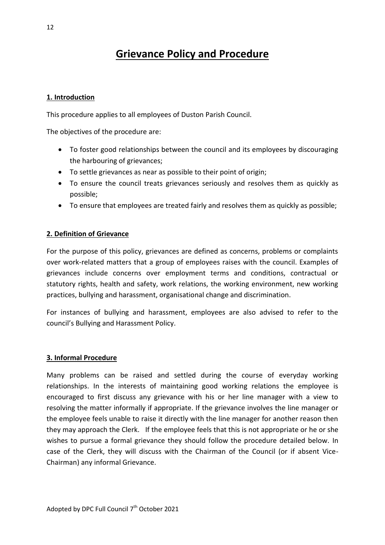# **Grievance Policy and Procedure**

### **1. Introduction**

This procedure applies to all employees of Duston Parish Council.

The objectives of the procedure are:

- To foster good relationships between the council and its employees by discouraging the harbouring of grievances;
- To settle grievances as near as possible to their point of origin;
- To ensure the council treats grievances seriously and resolves them as quickly as possible;
- To ensure that employees are treated fairly and resolves them as quickly as possible;

#### **2. Definition of Grievance**

For the purpose of this policy, grievances are defined as concerns, problems or complaints over work-related matters that a group of employees raises with the council. Examples of grievances include concerns over employment terms and conditions, contractual or statutory rights, health and safety, work relations, the working environment, new working practices, bullying and harassment, organisational change and discrimination.

For instances of bullying and harassment, employees are also advised to refer to the council's Bullying and Harassment Policy.

#### **3. Informal Procedure**

Many problems can be raised and settled during the course of everyday working relationships. In the interests of maintaining good working relations the employee is encouraged to first discuss any grievance with his or her line manager with a view to resolving the matter informally if appropriate. If the grievance involves the line manager or the employee feels unable to raise it directly with the line manager for another reason then they may approach the Clerk. If the employee feels that this is not appropriate or he or she wishes to pursue a formal grievance they should follow the procedure detailed below. In case of the Clerk, they will discuss with the Chairman of the Council (or if absent Vice-Chairman) any informal Grievance.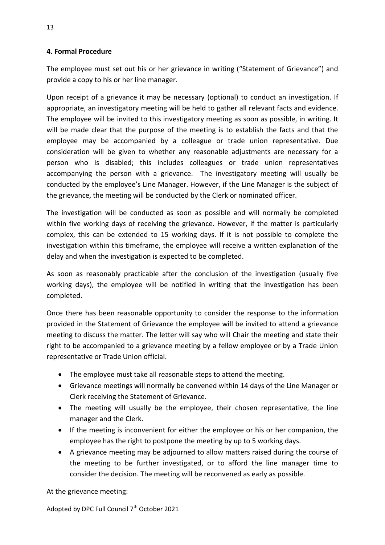### **4. Formal Procedure**

The employee must set out his or her grievance in writing ("Statement of Grievance") and provide a copy to his or her line manager.

Upon receipt of a grievance it may be necessary (optional) to conduct an investigation. If appropriate, an investigatory meeting will be held to gather all relevant facts and evidence. The employee will be invited to this investigatory meeting as soon as possible, in writing. It will be made clear that the purpose of the meeting is to establish the facts and that the employee may be accompanied by a colleague or trade union representative. Due consideration will be given to whether any reasonable adjustments are necessary for a person who is disabled; this includes colleagues or trade union representatives accompanying the person with a grievance. The investigatory meeting will usually be conducted by the employee's Line Manager. However, if the Line Manager is the subject of the grievance, the meeting will be conducted by the Clerk or nominated officer.

The investigation will be conducted as soon as possible and will normally be completed within five working days of receiving the grievance. However, if the matter is particularly complex, this can be extended to 15 working days. If it is not possible to complete the investigation within this timeframe, the employee will receive a written explanation of the delay and when the investigation is expected to be completed.

As soon as reasonably practicable after the conclusion of the investigation (usually five working days), the employee will be notified in writing that the investigation has been completed.

Once there has been reasonable opportunity to consider the response to the information provided in the Statement of Grievance the employee will be invited to attend a grievance meeting to discuss the matter. The letter will say who will Chair the meeting and state their right to be accompanied to a grievance meeting by a fellow employee or by a Trade Union representative or Trade Union official.

- The employee must take all reasonable steps to attend the meeting.
- Grievance meetings will normally be convened within 14 days of the Line Manager or Clerk receiving the Statement of Grievance.
- The meeting will usually be the employee, their chosen representative, the line manager and the Clerk.
- If the meeting is inconvenient for either the employee or his or her companion, the employee has the right to postpone the meeting by up to 5 working days.
- A grievance meeting may be adjourned to allow matters raised during the course of the meeting to be further investigated, or to afford the line manager time to consider the decision. The meeting will be reconvened as early as possible.

At the grievance meeting: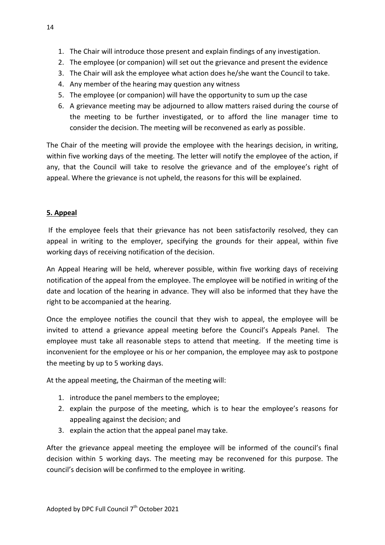- 1. The Chair will introduce those present and explain findings of any investigation.
- 2. The employee (or companion) will set out the grievance and present the evidence
- 3. The Chair will ask the employee what action does he/she want the Council to take.
- 4. Any member of the hearing may question any witness
- 5. The employee (or companion) will have the opportunity to sum up the case
- 6. A grievance meeting may be adjourned to allow matters raised during the course of the meeting to be further investigated, or to afford the line manager time to consider the decision. The meeting will be reconvened as early as possible.

The Chair of the meeting will provide the employee with the hearings decision, in writing, within five working days of the meeting. The letter will notify the employee of the action, if any, that the Council will take to resolve the grievance and of the employee's right of appeal. Where the grievance is not upheld, the reasons for this will be explained.

# **5. Appeal**

If the employee feels that their grievance has not been satisfactorily resolved, they can appeal in writing to the employer, specifying the grounds for their appeal, within five working days of receiving notification of the decision.

An Appeal Hearing will be held, wherever possible, within five working days of receiving notification of the appeal from the employee. The employee will be notified in writing of the date and location of the hearing in advance. They will also be informed that they have the right to be accompanied at the hearing.

Once the employee notifies the council that they wish to appeal, the employee will be invited to attend a grievance appeal meeting before the Council's Appeals Panel. The employee must take all reasonable steps to attend that meeting. If the meeting time is inconvenient for the employee or his or her companion, the employee may ask to postpone the meeting by up to 5 working days.

At the appeal meeting, the Chairman of the meeting will:

- 1. introduce the panel members to the employee;
- 2. explain the purpose of the meeting, which is to hear the employee's reasons for appealing against the decision; and
- 3. explain the action that the appeal panel may take.

After the grievance appeal meeting the employee will be informed of the council's final decision within 5 working days. The meeting may be reconvened for this purpose. The council's decision will be confirmed to the employee in writing.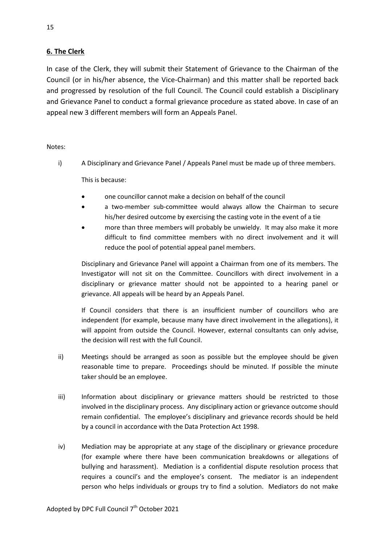### **6. The Clerk**

In case of the Clerk, they will submit their Statement of Grievance to the Chairman of the Council (or in his/her absence, the Vice-Chairman) and this matter shall be reported back and progressed by resolution of the full Council. The Council could establish a Disciplinary and Grievance Panel to conduct a formal grievance procedure as stated above. In case of an appeal new 3 different members will form an Appeals Panel.

#### Notes:

i) A Disciplinary and Grievance Panel / Appeals Panel must be made up of three members.

This is because:

- one councillor cannot make a decision on behalf of the council
- a two-member sub-committee would always allow the Chairman to secure his/her desired outcome by exercising the casting vote in the event of a tie
- more than three members will probably be unwieldy. It may also make it more difficult to find committee members with no direct involvement and it will reduce the pool of potential appeal panel members.

Disciplinary and Grievance Panel will appoint a Chairman from one of its members. The Investigator will not sit on the Committee. Councillors with direct involvement in a disciplinary or grievance matter should not be appointed to a hearing panel or grievance. All appeals will be heard by an Appeals Panel.

If Council considers that there is an insufficient number of councillors who are independent (for example, because many have direct involvement in the allegations), it will appoint from outside the Council. However, external consultants can only advise, the decision will rest with the full Council.

- ii) Meetings should be arranged as soon as possible but the employee should be given reasonable time to prepare. Proceedings should be minuted. If possible the minute taker should be an employee.
- iii) Information about disciplinary or grievance matters should be restricted to those involved in the disciplinary process. Any disciplinary action or grievance outcome should remain confidential. The employee's disciplinary and grievance records should be held by a council in accordance with the Data Protection Act 1998.
- iv) Mediation may be appropriate at any stage of the disciplinary or grievance procedure (for example where there have been communication breakdowns or allegations of bullying and harassment). Mediation is a confidential dispute resolution process that requires a council's and the employee's consent. The mediator is an independent person who helps individuals or groups try to find a solution. Mediators do not make